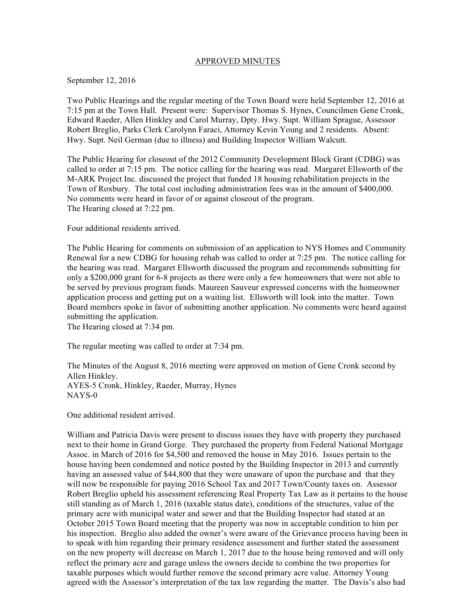#### APPROVED MINUTES

#### September 12, 2016

Two Public Hearings and the regular meeting of the Town Board were held September 12, 2016 at 7:15 pm at the Town Hall. Present were: Supervisor Thomas S. Hynes, Councilmen Gene Cronk, Edward Raeder, Allen Hinkley and Carol Murray, Dpty. Hwy. Supt. William Sprague, Assessor Robert Breglio, Parks Clerk Carolynn Faraci, Attorney Kevin Young and 2 residents. Absent: Hwy. Supt. Neil German (due to illness) and Building Inspector William Walcutt.

The Public Hearing for closeout of the 2012 Community Development Block Grant (CDBG) was called to order at 7:15 pm. The notice calling for the hearing was read. Margaret Ellsworth of the M-ARK Project Inc. discussed the project that funded 18 housing rehabilitation projects in the Town of Roxbury. The total cost including administration fees was in the amount of \$400,000. No comments were heard in favor of or against closeout of the program. The Hearing closed at 7:22 pm.

Four additional residents arrived.

The Public Hearing for comments on submission of an application to NYS Homes and Community Renewal for a new CDBG for housing rehab was called to order at 7:25 pm. The notice calling for the hearing was read. Margaret Ellsworth discussed the program and recommends submitting for only a \$200,000 grant for 6-8 projects as there were only a few homeowners that were not able to be served by previous program funds. Maureen Sauveur expressed concerns with the homeowner application process and getting put on a waiting list. Ellsworth will look into the matter. Town Board members spoke in favor of submitting another application. No comments were heard against submitting the application.

The Hearing closed at 7:34 pm.

The regular meeting was called to order at 7:34 pm.

The Minutes of the August 8, 2016 meeting were approved on motion of Gene Cronk second by Allen Hinkley. AYES-5 Cronk, Hinkley, Raeder, Murray, Hynes NAYS-0

One additional resident arrived.

William and Patricia Davis were present to discuss issues they have with property they purchased next to their home in Grand Gorge. They purchased the property from Federal National Mortgage Assoc. in March of 2016 for \$4,500 and removed the house in May 2016. Issues pertain to the house having been condemned and notice posted by the Building Inspector in 2013 and currently having an assessed value of \$44,800 that they were unaware of upon the purchase and that they will now be responsible for paying 2016 School Tax and 2017 Town/County taxes on. Assessor Robert Breglio upheld his assessment referencing Real Property Tax Law as it pertains to the house still standing as of March 1, 2016 (taxable status date), conditions of the structures, value of the primary acre with municipal water and sewer and that the Building Inspector had stated at an October 2015 Town Board meeting that the property was now in acceptable condition to him per his inspection. Breglio also added the owner's were aware of the Grievance process having been in to speak with him regarding their primary residence assessment and further stated the assessment on the new property will decrease on March 1, 2017 due to the house being removed and will only reflect the primary acre and garage unless the owners decide to combine the two properties for taxable purposes which would further remove the second primary acre value. Attorney Young agreed with the Assessor's interpretation of the tax law regarding the matter. The Davis's also had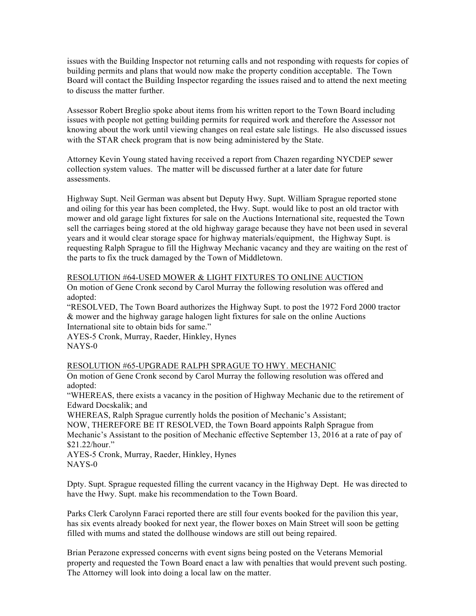issues with the Building Inspector not returning calls and not responding with requests for copies of building permits and plans that would now make the property condition acceptable. The Town Board will contact the Building Inspector regarding the issues raised and to attend the next meeting to discuss the matter further.

Assessor Robert Breglio spoke about items from his written report to the Town Board including issues with people not getting building permits for required work and therefore the Assessor not knowing about the work until viewing changes on real estate sale listings. He also discussed issues with the STAR check program that is now being administered by the State.

Attorney Kevin Young stated having received a report from Chazen regarding NYCDEP sewer collection system values. The matter will be discussed further at a later date for future assessments.

Highway Supt. Neil German was absent but Deputy Hwy. Supt. William Sprague reported stone and oiling for this year has been completed, the Hwy. Supt. would like to post an old tractor with mower and old garage light fixtures for sale on the Auctions International site, requested the Town sell the carriages being stored at the old highway garage because they have not been used in several years and it would clear storage space for highway materials/equipment, the Highway Supt. is requesting Ralph Sprague to fill the Highway Mechanic vacancy and they are waiting on the rest of the parts to fix the truck damaged by the Town of Middletown.

#### RESOLUTION #64-USED MOWER & LIGHT FIXTURES TO ONLINE AUCTION

On motion of Gene Cronk second by Carol Murray the following resolution was offered and adopted:

"RESOLVED, The Town Board authorizes the Highway Supt. to post the 1972 Ford 2000 tractor & mower and the highway garage halogen light fixtures for sale on the online Auctions International site to obtain bids for same."

AYES-5 Cronk, Murray, Raeder, Hinkley, Hynes NAYS-0

# RESOLUTION #65-UPGRADE RALPH SPRAGUE TO HWY. MECHANIC

On motion of Gene Cronk second by Carol Murray the following resolution was offered and adopted:

"WHEREAS, there exists a vacancy in the position of Highway Mechanic due to the retirement of Edward Docskalik; and

WHEREAS, Ralph Sprague currently holds the position of Mechanic's Assistant;

NOW, THEREFORE BE IT RESOLVED, the Town Board appoints Ralph Sprague from Mechanic's Assistant to the position of Mechanic effective September 13, 2016 at a rate of pay of \$21.22/hour."

AYES-5 Cronk, Murray, Raeder, Hinkley, Hynes NAYS-0

Dpty. Supt. Sprague requested filling the current vacancy in the Highway Dept. He was directed to have the Hwy. Supt. make his recommendation to the Town Board.

Parks Clerk Carolynn Faraci reported there are still four events booked for the pavilion this year, has six events already booked for next year, the flower boxes on Main Street will soon be getting filled with mums and stated the dollhouse windows are still out being repaired.

Brian Perazone expressed concerns with event signs being posted on the Veterans Memorial property and requested the Town Board enact a law with penalties that would prevent such posting. The Attorney will look into doing a local law on the matter.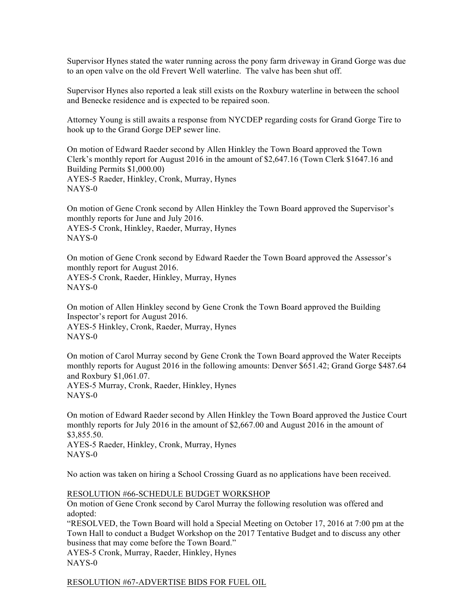Supervisor Hynes stated the water running across the pony farm driveway in Grand Gorge was due to an open valve on the old Frevert Well waterline. The valve has been shut off.

Supervisor Hynes also reported a leak still exists on the Roxbury waterline in between the school and Benecke residence and is expected to be repaired soon.

Attorney Young is still awaits a response from NYCDEP regarding costs for Grand Gorge Tire to hook up to the Grand Gorge DEP sewer line.

On motion of Edward Raeder second by Allen Hinkley the Town Board approved the Town Clerk's monthly report for August 2016 in the amount of \$2,647.16 (Town Clerk \$1647.16 and Building Permits \$1,000.00) AYES-5 Raeder, Hinkley, Cronk, Murray, Hynes NAYS-0

On motion of Gene Cronk second by Allen Hinkley the Town Board approved the Supervisor's monthly reports for June and July 2016. AYES-5 Cronk, Hinkley, Raeder, Murray, Hynes NAYS-0

On motion of Gene Cronk second by Edward Raeder the Town Board approved the Assessor's monthly report for August 2016. AYES-5 Cronk, Raeder, Hinkley, Murray, Hynes NAYS-0

On motion of Allen Hinkley second by Gene Cronk the Town Board approved the Building Inspector's report for August 2016. AYES-5 Hinkley, Cronk, Raeder, Murray, Hynes NAYS-0

On motion of Carol Murray second by Gene Cronk the Town Board approved the Water Receipts monthly reports for August 2016 in the following amounts: Denver \$651.42; Grand Gorge \$487.64 and Roxbury \$1,061.07. AYES-5 Murray, Cronk, Raeder, Hinkley, Hynes

NAYS-0

On motion of Edward Raeder second by Allen Hinkley the Town Board approved the Justice Court monthly reports for July 2016 in the amount of \$2,667.00 and August 2016 in the amount of \$3,855.50.

AYES-5 Raeder, Hinkley, Cronk, Murray, Hynes NAYS-0

No action was taken on hiring a School Crossing Guard as no applications have been received.

# RESOLUTION #66-SCHEDULE BUDGET WORKSHOP

On motion of Gene Cronk second by Carol Murray the following resolution was offered and adopted:

"RESOLVED, the Town Board will hold a Special Meeting on October 17, 2016 at 7:00 pm at the Town Hall to conduct a Budget Workshop on the 2017 Tentative Budget and to discuss any other business that may come before the Town Board."

AYES-5 Cronk, Murray, Raeder, Hinkley, Hynes NAYS-0

RESOLUTION #67-ADVERTISE BIDS FOR FUEL OIL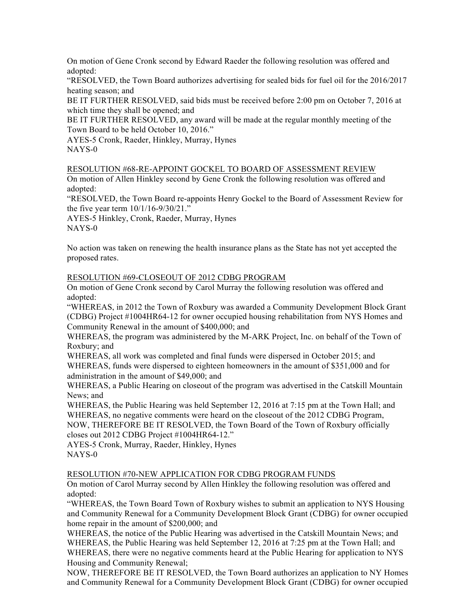On motion of Gene Cronk second by Edward Raeder the following resolution was offered and adopted:

"RESOLVED, the Town Board authorizes advertising for sealed bids for fuel oil for the 2016/2017 heating season; and

BE IT FURTHER RESOLVED, said bids must be received before 2:00 pm on October 7, 2016 at which time they shall be opened; and

BE IT FURTHER RESOLVED, any award will be made at the regular monthly meeting of the Town Board to be held October 10, 2016."

AYES-5 Cronk, Raeder, Hinkley, Murray, Hynes NAYS-0

RESOLUTION #68-RE-APPOINT GOCKEL TO BOARD OF ASSESSMENT REVIEW

On motion of Allen Hinkley second by Gene Cronk the following resolution was offered and adopted:

"RESOLVED, the Town Board re-appoints Henry Gockel to the Board of Assessment Review for the five year term 10/1/16-9/30/21."

AYES-5 Hinkley, Cronk, Raeder, Murray, Hynes NAYS-0

No action was taken on renewing the health insurance plans as the State has not yet accepted the proposed rates.

RESOLUTION #69-CLOSEOUT OF 2012 CDBG PROGRAM

On motion of Gene Cronk second by Carol Murray the following resolution was offered and adopted:

"WHEREAS, in 2012 the Town of Roxbury was awarded a Community Development Block Grant (CDBG) Project #1004HR64-12 for owner occupied housing rehabilitation from NYS Homes and Community Renewal in the amount of \$400,000; and

WHEREAS, the program was administered by the M-ARK Project, Inc. on behalf of the Town of Roxbury; and

WHEREAS, all work was completed and final funds were dispersed in October 2015; and WHEREAS, funds were dispersed to eighteen homeowners in the amount of \$351,000 and for administration in the amount of \$49,000; and

WHEREAS, a Public Hearing on closeout of the program was advertised in the Catskill Mountain News; and

WHEREAS, the Public Hearing was held September 12, 2016 at 7:15 pm at the Town Hall; and WHEREAS, no negative comments were heard on the closeout of the 2012 CDBG Program, NOW, THEREFORE BE IT RESOLVED, the Town Board of the Town of Roxbury officially closes out 2012 CDBG Project #1004HR64-12."

AYES-5 Cronk, Murray, Raeder, Hinkley, Hynes NAYS-0

# RESOLUTION #70-NEW APPLICATION FOR CDBG PROGRAM FUNDS

On motion of Carol Murray second by Allen Hinkley the following resolution was offered and adopted:

"WHEREAS, the Town Board Town of Roxbury wishes to submit an application to NYS Housing and Community Renewal for a Community Development Block Grant (CDBG) for owner occupied home repair in the amount of \$200,000; and

WHEREAS, the notice of the Public Hearing was advertised in the Catskill Mountain News; and WHEREAS, the Public Hearing was held September 12, 2016 at 7:25 pm at the Town Hall; and WHEREAS, there were no negative comments heard at the Public Hearing for application to NYS Housing and Community Renewal;

NOW, THEREFORE BE IT RESOLVED, the Town Board authorizes an application to NY Homes and Community Renewal for a Community Development Block Grant (CDBG) for owner occupied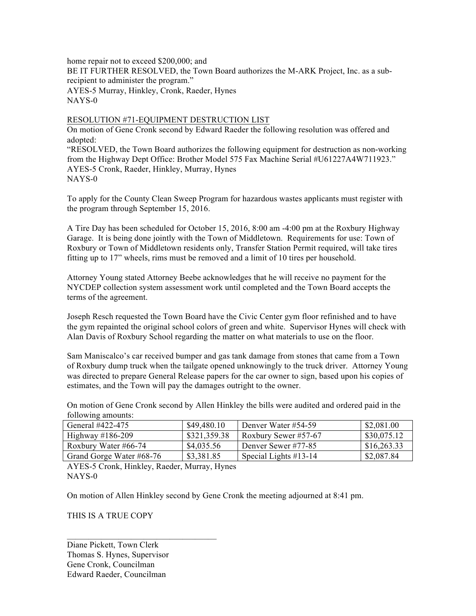home repair not to exceed \$200,000; and BE IT FURTHER RESOLVED, the Town Board authorizes the M-ARK Project, Inc. as a subrecipient to administer the program." AYES-5 Murray, Hinkley, Cronk, Raeder, Hynes NAYS-0

# RESOLUTION #71-EQUIPMENT DESTRUCTION LIST

On motion of Gene Cronk second by Edward Raeder the following resolution was offered and adopted:

"RESOLVED, the Town Board authorizes the following equipment for destruction as non-working from the Highway Dept Office: Brother Model 575 Fax Machine Serial #U61227A4W711923." AYES-5 Cronk, Raeder, Hinkley, Murray, Hynes NAYS-0

To apply for the County Clean Sweep Program for hazardous wastes applicants must register with the program through September 15, 2016.

A Tire Day has been scheduled for October 15, 2016, 8:00 am -4:00 pm at the Roxbury Highway Garage. It is being done jointly with the Town of Middletown. Requirements for use: Town of Roxbury or Town of Middletown residents only, Transfer Station Permit required, will take tires fitting up to 17" wheels, rims must be removed and a limit of 10 tires per household.

Attorney Young stated Attorney Beebe acknowledges that he will receive no payment for the NYCDEP collection system assessment work until completed and the Town Board accepts the terms of the agreement.

Joseph Resch requested the Town Board have the Civic Center gym floor refinished and to have the gym repainted the original school colors of green and white. Supervisor Hynes will check with Alan Davis of Roxbury School regarding the matter on what materials to use on the floor.

Sam Maniscalco's car received bumper and gas tank damage from stones that came from a Town of Roxbury dump truck when the tailgate opened unknowingly to the truck driver. Attorney Young was directed to prepare General Release papers for the car owner to sign, based upon his copies of estimates, and the Town will pay the damages outright to the owner.

On motion of Gene Cronk second by Allen Hinkley the bills were audited and ordered paid in the following amounts:

| General #422-475         | \$49,480.10  | Denver Water #54-59      | \$2,081.00  |
|--------------------------|--------------|--------------------------|-------------|
| Highway $\#186-209$      | \$321,359.38 | Roxbury Sewer #57-67     | \$30,075.12 |
| Roxbury Water #66-74     | \$4,035.56   | Denver Sewer #77-85      | \$16,263.33 |
| Grand Gorge Water #68-76 | \$3,381.85   | Special Lights $\#13-14$ | \$2,087.84  |

AYES-5 Cronk, Hinkley, Raeder, Murray, Hynes NAYS-0

 $\mathcal{L}_\text{max} = \mathcal{L}_\text{max} = \mathcal{L}_\text{max} = \mathcal{L}_\text{max} = \mathcal{L}_\text{max}$ 

On motion of Allen Hinkley second by Gene Cronk the meeting adjourned at 8:41 pm.

THIS IS A TRUE COPY

Diane Pickett, Town Clerk Thomas S. Hynes, Supervisor Gene Cronk, Councilman Edward Raeder, Councilman